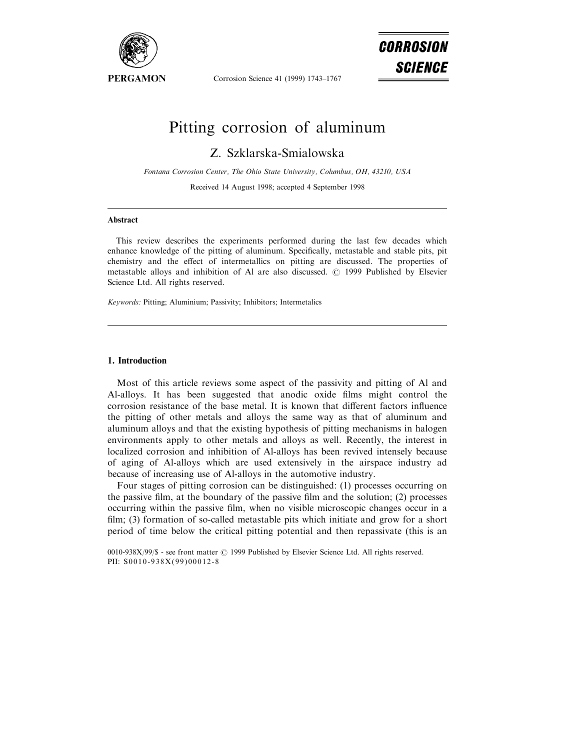

Corrosion Science 41 (1999) 1743-1767

# CORROSION *SCIENCE*

# Pitting corrosion of aluminum

Z. Szklarska-Smialowska

Fontana Corrosion Center, The Ohio State University, Columbus, OH, 43210, USA Received 14 August 1998; accepted 4 September 1998

#### Abstract

This review describes the experiments performed during the last few decades which enhance knowledge of the pitting of aluminum. Specifically, metastable and stable pits, pit chemistry and the effect of intermetallics on pitting are discussed. The properties of metastable alloys and inhibition of Al are also discussed.  $\odot$  1999 Published by Elsevier Science Ltd. All rights reserved.

Keywords: Pitting; Aluminium; Passivity; Inhibitors; Intermetalics

#### 1. Introduction

Most of this article reviews some aspect of the passivity and pitting of Al and Al-alloys. It has been suggested that anodic oxide films might control the corrosion resistance of the base metal. It is known that different factors influence the pitting of other metals and alloys the same way as that of aluminum and aluminum alloys and that the existing hypothesis of pitting mechanisms in halogen environments apply to other metals and alloys as well. Recently, the interest in localized corrosion and inhibition of Al-alloys has been revived intensely because of aging of Al-alloys which are used extensively in the airspace industry ad because of increasing use of Al-alloys in the automotive industry.

Four stages of pitting corrosion can be distinguished: (1) processes occurring on the passive film, at the boundary of the passive film and the solution; (2) processes occurring within the passive film, when no visible microscopic changes occur in a film;  $(3)$  formation of so-called metastable pits which initiate and grow for a short period of time below the critical pitting potential and then repassivate (this is an

0010-938X/99/\$ - see front matter © 1999 Published by Elsevier Science Ltd. All rights reserved. PII: S0010-938X(99)00012-8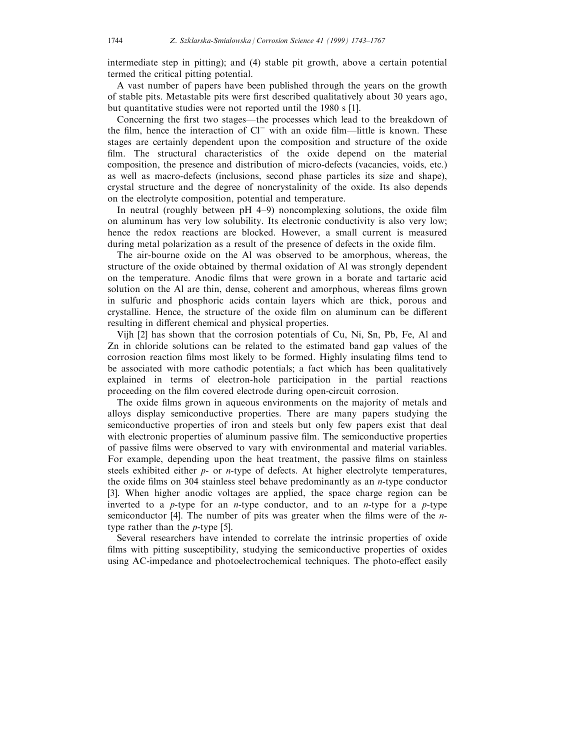intermediate step in pitting); and (4) stable pit growth, above a certain potential termed the critical pitting potential.

A vast number of papers have been published through the years on the growth of stable pits. Metastable pits were first described qualitatively about 30 years ago, but quantitative studies were not reported until the 1980 s [1].

Concerning the first two stages—the processes which lead to the breakdown of the film, hence the interaction of  $Cl^-$  with an oxide film—little is known. These stages are certainly dependent upon the composition and structure of the oxide film. The structural characteristics of the oxide depend on the material composition, the presence and distribution of micro-defects (vacancies, voids, etc.) as well as macro-defects (inclusions, second phase particles its size and shape), crystal structure and the degree of noncrystalinity of the oxide. Its also depends on the electrolyte composition, potential and temperature.

In neutral (roughly between  $pH_1 + 9$ ) noncomplexing solutions, the oxide film on aluminum has very low solubility. Its electronic conductivity is also very low; hence the redox reactions are blocked. However, a small current is measured during metal polarization as a result of the presence of defects in the oxide film.

The air-bourne oxide on the Al was observed to be amorphous, whereas, the structure of the oxide obtained by thermal oxidation of Al was strongly dependent on the temperature. Anodic films that were grown in a borate and tartaric acid solution on the Al are thin, dense, coherent and amorphous, whereas films grown in sulfuric and phosphoric acids contain layers which are thick, porous and crystalline. Hence, the structure of the oxide film on aluminum can be different resulting in different chemical and physical properties.

Vijh [2] has shown that the corrosion potentials of Cu, Ni, Sn, Pb, Fe, Al and Zn in chloride solutions can be related to the estimated band gap values of the corrosion reaction films most likely to be formed. Highly insulating films tend to be associated with more cathodic potentials; a fact which has been qualitatively explained in terms of electron-hole participation in the partial reactions proceeding on the film covered electrode during open-circuit corrosion.

The oxide films grown in aqueous environments on the majority of metals and alloys display semiconductive properties. There are many papers studying the semiconductive properties of iron and steels but only few papers exist that deal with electronic properties of aluminum passive film. The semiconductive properties of passive films were observed to vary with environmental and material variables. For example, depending upon the heat treatment, the passive films on stainless steels exhibited either  $p$ - or *n*-type of defects. At higher electrolyte temperatures, the oxide films on 304 stainless steel behave predominantly as an *n*-type conductor [3]. When higher anodic voltages are applied, the space charge region can be inverted to a  $p$ -type for an *n*-type conductor, and to an *n*-type for a  $p$ -type semiconductor [4]. The number of pits was greater when the films were of the  $n$ type rather than the p-type [5].

Several researchers have intended to correlate the intrinsic properties of oxide films with pitting susceptibility, studying the semiconductive properties of oxides using AC-impedance and photoelectrochemical techniques. The photo-effect easily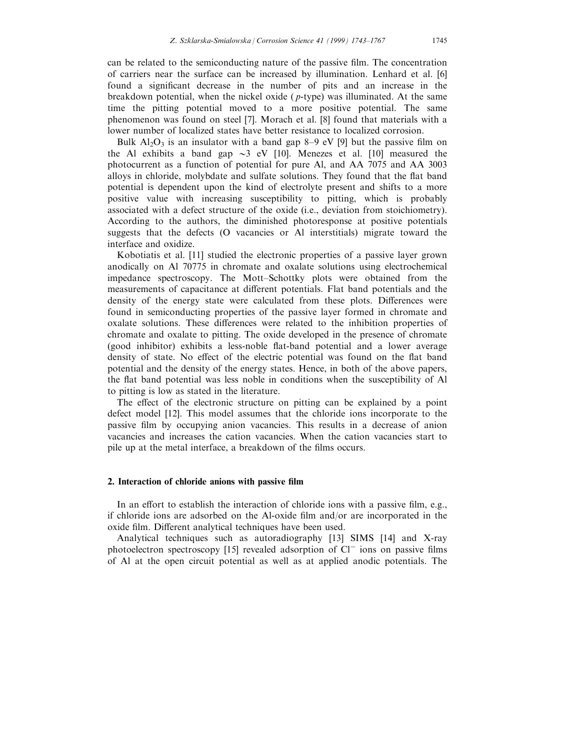can be related to the semiconducting nature of the passive film. The concentration of carriers near the surface can be increased by illumination. Lenhard et al. [6] found a significant decrease in the number of pits and an increase in the breakdown potential, when the nickel oxide ( $p$ -type) was illuminated. At the same time the pitting potential moved to a more positive potential. The same phenomenon was found on steel [7]. Morach et al. [8] found that materials with a lower number of localized states have better resistance to localized corrosion.

Bulk  $Al_2O_3$  is an insulator with a band gap 8–9 eV [9] but the passive film on the Al exhibits a band gap  $\sim$ 3 eV [10]. Menezes et al. [10] measured the photocurrent as a function of potential for pure Al, and AA 7075 and AA 3003 alloys in chloride, molybdate and sulfate solutions. They found that the flat band potential is dependent upon the kind of electrolyte present and shifts to a more positive value with increasing susceptibility to pitting, which is probably associated with a defect structure of the oxide (i.e., deviation from stoichiometry). According to the authors, the diminished photoresponse at positive potentials suggests that the defects (O vacancies or Al interstitials) migrate toward the interface and oxidize.

Kobotiatis et al. [11] studied the electronic properties of a passive layer grown anodically on Al 70775 in chromate and oxalate solutions using electrochemical impedance spectroscopy. The Mott-Schottky plots were obtained from the measurements of capacitance at different potentials. Flat band potentials and the density of the energy state were calculated from these plots. Differences were found in semiconducting properties of the passive layer formed in chromate and oxalate solutions. These differences were related to the inhibition properties of chromate and oxalate to pitting. The oxide developed in the presence of chromate (good inhibitor) exhibits a less-noble flat-band potential and a lower average density of state. No effect of the electric potential was found on the flat band potential and the density of the energy states. Hence, in both of the above papers, the flat band potential was less noble in conditions when the susceptibility of Al to pitting is low as stated in the literature.

The effect of the electronic structure on pitting can be explained by a point defect model [12]. This model assumes that the chloride ions incorporate to the passive film by occupying anion vacancies. This results in a decrease of anion vacancies and increases the cation vacancies. When the cation vacancies start to pile up at the metal interface, a breakdown of the films occurs.

#### 2. Interaction of chloride anions with passive film

In an effort to establish the interaction of chloride ions with a passive film, e.g., if chloride ions are adsorbed on the Al-oxide film and/or are incorporated in the oxide film. Different analytical techniques have been used.

Analytical techniques such as autoradiography [13] SIMS [14] and X-ray photoelectron spectroscopy [15] revealed adsorption of  $Cl^-$  ions on passive films of Al at the open circuit potential as well as at applied anodic potentials. The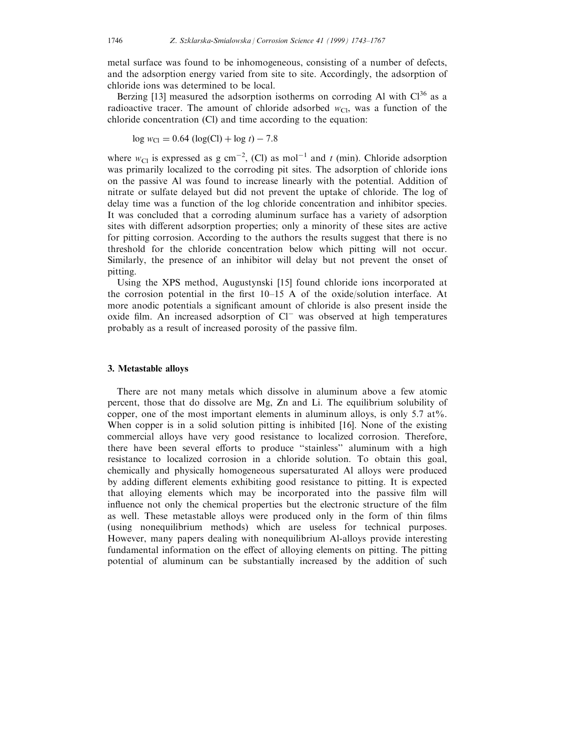metal surface was found to be inhomogeneous, consisting of a number of defects, and the adsorption energy varied from site to site. Accordingly, the adsorption of chloride ions was determined to be local.

Berzing [13] measured the adsorption isotherms on corroding Al with  $Cl^{36}$  as a radioactive tracer. The amount of chloride adsorbed  $w_{\text{Cl}}$ , was a function of the chloride concentration (Cl) and time according to the equation:

$$
\log w_{\text{Cl}} = 0.64 \left( \log(\text{Cl}) + \log t \right) - 7.8
$$

where  $w_{\text{Cl}}$  is expressed as g cm<sup>-2</sup>, (Cl) as mol<sup>-1</sup> and t (min). Chloride adsorption was primarily localized to the corroding pit sites. The adsorption of chloride ions on the passive Al was found to increase linearly with the potential. Addition of nitrate or sulfate delayed but did not prevent the uptake of chloride. The log of delay time was a function of the log chloride concentration and inhibitor species. It was concluded that a corroding aluminum surface has a variety of adsorption sites with different adsorption properties; only a minority of these sites are active for pitting corrosion. According to the authors the results suggest that there is no threshold for the chloride concentration below which pitting will not occur. Similarly, the presence of an inhibitor will delay but not prevent the onset of pitting.

Using the XPS method, Augustynski [15] found chloride ions incorporated at the corrosion potential in the first  $10-15$  A of the oxide/solution interface. At more anodic potentials a significant amount of chloride is also present inside the oxide film. An increased adsorption of  $Cl^-$  was observed at high temperatures probably as a result of increased porosity of the passive film.

#### 3. Metastable alloys

There are not many metals which dissolve in aluminum above a few atomic percent, those that do dissolve are Mg, Zn and Li. The equilibrium solubility of copper, one of the most important elements in aluminum alloys, is only 5.7 at%. When copper is in a solid solution pitting is inhibited [16]. None of the existing commercial alloys have very good resistance to localized corrosion. Therefore, there have been several efforts to produce "stainless" aluminum with a high resistance to localized corrosion in a chloride solution. To obtain this goal, chemically and physically homogeneous supersaturated Al alloys were produced by adding different elements exhibiting good resistance to pitting. It is expected that alloying elements which may be incorporated into the passive film will influence not only the chemical properties but the electronic structure of the film as well. These metastable alloys were produced only in the form of thin films (using nonequilibrium methods) which are useless for technical purposes. However, many papers dealing with nonequilibrium Al-alloys provide interesting fundamental information on the effect of alloying elements on pitting. The pitting potential of aluminum can be substantially increased by the addition of such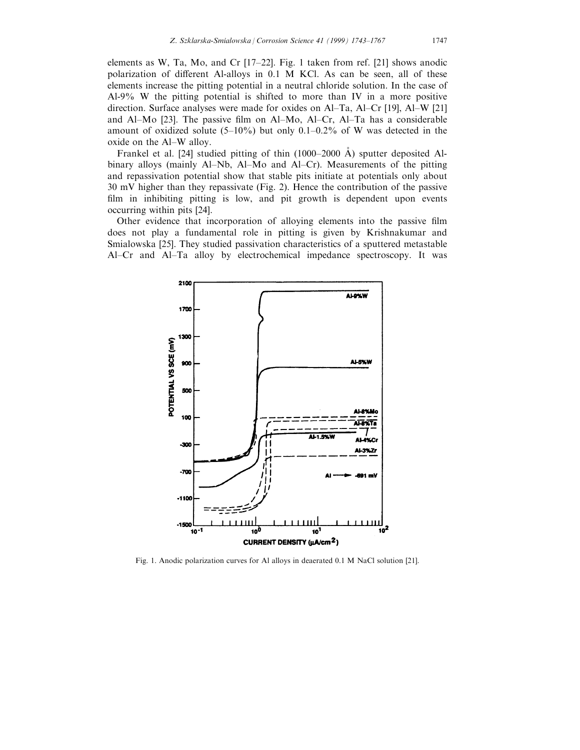elements as W, Ta, Mo, and Cr  $[17-22]$ . Fig. 1 taken from ref. [21] shows anodic polarization of different Al-alloys in  $0.1$  M KCl. As can be seen, all of these elements increase the pitting potential in a neutral chloride solution. In the case of Al-9% W the pitting potential is shifted to more than IV in a more positive direction. Surface analyses were made for oxides on Al-Ta, Al-Cr [19], Al-W [21] and Al $-Mo$  [23]. The passive film on Al $-Mo$ , Al $-Cr$ , Al $-Ta$  has a considerable amount of oxidized solute (5 $-10\%$ ) but only 0.1 $-0.2\%$  of W was detected in the oxide on the Al-W alloy.

Frankel et al. [24] studied pitting of thin  $(1000-2000 \text{ Å})$  sputter deposited Albinary alloys (mainly  $Al-Nb$ ,  $Al-Mo$  and  $Al-Cr$ ). Measurements of the pitting and repassivation potential show that stable pits initiate at potentials only about 30 mV higher than they repassivate (Fig. 2). Hence the contribution of the passive film in inhibiting pitting is low, and pit growth is dependent upon events occurring within pits [24].

Other evidence that incorporation of alloying elements into the passive film does not play a fundamental role in pitting is given by Krishnakumar and Smialowska [25]. They studied passivation characteristics of a sputtered metastable Al-Cr and Al-Ta alloy by electrochemical impedance spectroscopy. It was



Fig. 1. Anodic polarization curves for Al alloys in deaerated 0.1 M NaCl solution [21].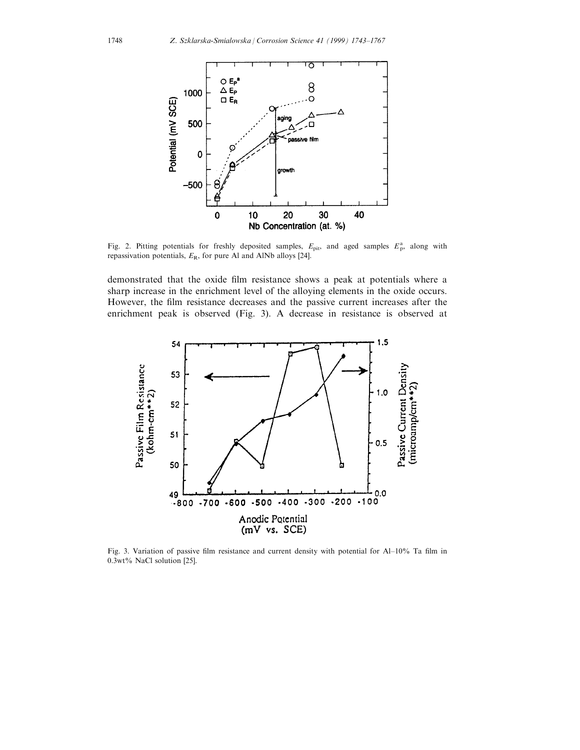

Fig. 2. Pitting potentials for freshly deposited samples,  $E_{\text{pit}}$ , and aged samples  $E_{\text{p}}^{\text{a}}$ , along with repassivation potentials,  $E_R$ , for pure Al and AlNb alloys [24].

demonstrated that the oxide film resistance shows a peak at potentials where a sharp increase in the enrichment level of the alloying elements in the oxide occurs. However, the film resistance decreases and the passive current increases after the enrichment peak is observed (Fig. 3). A decrease in resistance is observed at



Fig. 3. Variation of passive film resistance and current density with potential for Al-10% Ta film in 0.3wt% NaCl solution [25].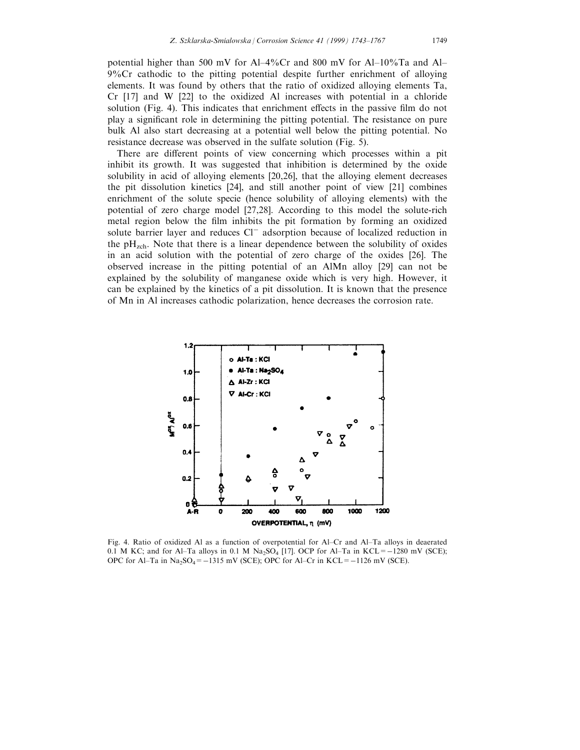potential higher than 500 mV for Al-4%Cr and 800 mV for Al-10%Ta and Al-9%Cr cathodic to the pitting potential despite further enrichment of alloying elements. It was found by others that the ratio of oxidized alloying elements Ta, Cr [17] and W [22] to the oxidized Al increases with potential in a chloride solution (Fig. 4). This indicates that enrichment effects in the passive film do not play a significant role in determining the pitting potential. The resistance on pure bulk Al also start decreasing at a potential well below the pitting potential. No resistance decrease was observed in the sulfate solution (Fig. 5).

There are different points of view concerning which processes within a pit inhibit its growth. It was suggested that inhibition is determined by the oxide solubility in acid of alloying elements [20,26], that the alloying element decreases the pit dissolution kinetics [24], and still another point of view [21] combines enrichment of the solute specie (hence solubility of alloying elements) with the potential of zero charge model [27,28]. According to this model the solute-rich metal region below the film inhibits the pit formation by forming an oxidized solute barrier layer and reduces  $Cl^-$  adsorption because of localized reduction in the  $pH_{\text{zch}}$ . Note that there is a linear dependence between the solubility of oxides in an acid solution with the potential of zero charge of the oxides [26]. The observed increase in the pitting potential of an AlMn alloy [29] can not be explained by the solubility of manganese oxide which is very high. However, it can be explained by the kinetics of a pit dissolution. It is known that the presence of Mn in Al increases cathodic polarization, hence decreases the corrosion rate.



Fig. 4. Ratio of oxidized Al as a function of overpotential for Al-Cr and Al-Ta alloys in deaerated 0.1 M KC; and for Al-Ta alloys in 0.1 M  $Na<sub>2</sub>SO<sub>4</sub>$  [17]. OCP for Al-Ta in KCL= $-1280$  mV (SCE); OPC for Al-Ta in  $Na<sub>2</sub>SO<sub>4</sub>=-1315$  mV (SCE); OPC for Al-Cr in KCL= $-1126$  mV (SCE).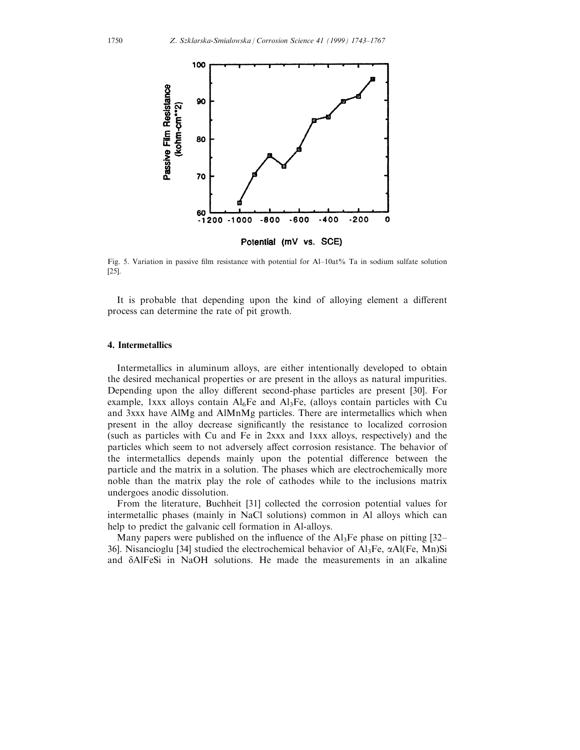

Fig. 5. Variation in passive film resistance with potential for Al-10at% Ta in sodium sulfate solution [25].

It is probable that depending upon the kind of alloying element a different process can determine the rate of pit growth.

## 4. Intermetallics

Intermetallics in aluminum alloys, are either intentionally developed to obtain the desired mechanical properties or are present in the alloys as natural impurities. Depending upon the alloy different second-phase particles are present [30]. For example, 1xxx alloys contain  $Al_6Fe$  and  $Al_3Fe$ , (alloys contain particles with Cu and 3xxx have AlMg and AlMnMg particles. There are intermetallics which when present in the alloy decrease significantly the resistance to localized corrosion (such as particles with Cu and Fe in 2xxx and 1xxx alloys, respectively) and the particles which seem to not adversely affect corrosion resistance. The behavior of the intermetallics depends mainly upon the potential difference between the particle and the matrix in a solution. The phases which are electrochemically more noble than the matrix play the role of cathodes while to the inclusions matrix undergoes anodic dissolution.

From the literature, Buchheit [31] collected the corrosion potential values for intermetallic phases (mainly in NaCl solutions) common in Al alloys which can help to predict the galvanic cell formation in Al-alloys.

Many papers were published on the influence of the  $Al_3Fe$  phase on pitting [32– 36]. Nisancioglu [34] studied the electrochemical behavior of  $Al<sub>3</sub>Fe$ ,  $\alpha Al(Fe, Mn)Si$ and  $\delta$ AlFeSi in NaOH solutions. He made the measurements in an alkaline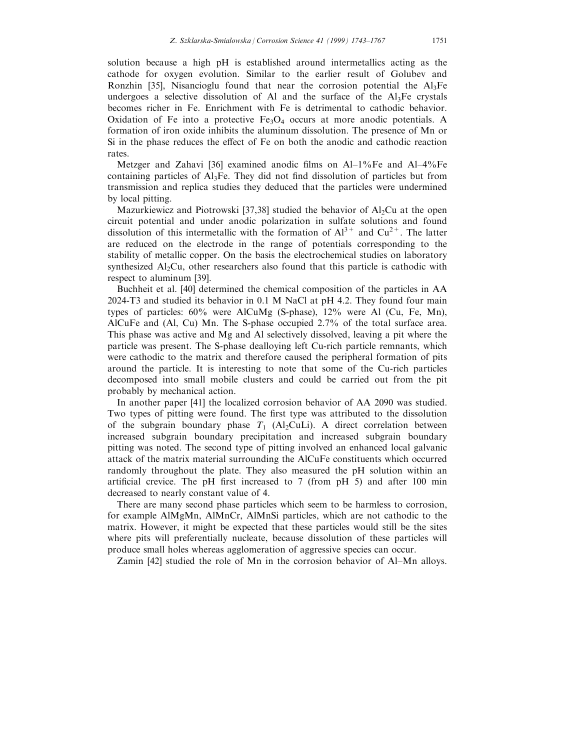solution because a high pH is established around intermetallics acting as the cathode for oxygen evolution. Similar to the earlier result of Golubev and Ronzhin [35], Nisancioglu found that near the corrosion potential the  $Al<sub>3</sub>Fe$ undergoes a selective dissolution of Al and the surface of the  $Al<sub>3</sub>Fe$  crystals becomes richer in Fe. Enrichment with Fe is detrimental to cathodic behavior. Oxidation of Fe into a protective  $Fe<sub>3</sub>O<sub>4</sub>$  occurs at more anodic potentials. A formation of iron oxide inhibits the aluminum dissolution. The presence of Mn or Si in the phase reduces the effect of Fe on both the anodic and cathodic reaction rates.

Metzger and Zahavi [36] examined anodic films on  $Al-1\%Fe$  and  $Al-4\%Fe$ containing particles of  $A<sub>13</sub>F<sub>e</sub>$ . They did not find dissolution of particles but from transmission and replica studies they deduced that the particles were undermined by local pitting.

Mazurkiewicz and Piotrowski [37,38] studied the behavior of  $A<sub>1</sub>$ Cu at the open circuit potential and under anodic polarization in sulfate solutions and found dissolution of this intermetallic with the formation of  $Al^{3+}$  and  $Cu^{2+}$ . The latter are reduced on the electrode in the range of potentials corresponding to the stability of metallic copper. On the basis the electrochemical studies on laboratory synthesized  $\text{Al}_2\text{Cu}$ , other researchers also found that this particle is cathodic with respect to aluminum [39].

Buchheit et al. [40] determined the chemical composition of the particles in AA 2024-T3 and studied its behavior in 0.1 M NaCl at pH 4.2. They found four main types of particles: 60% were AlCuMg (S-phase), 12% were Al (Cu, Fe, Mn), AlCuFe and (Al, Cu) Mn. The S-phase occupied 2.7% of the total surface area. This phase was active and Mg and Al selectively dissolved, leaving a pit where the particle was present. The S-phase dealloying left Cu-rich particle remnants, which were cathodic to the matrix and therefore caused the peripheral formation of pits around the particle. It is interesting to note that some of the Cu-rich particles decomposed into small mobile clusters and could be carried out from the pit probably by mechanical action.

In another paper [41] the localized corrosion behavior of AA 2090 was studied. Two types of pitting were found. The first type was attributed to the dissolution of the subgrain boundary phase  $T_1$  (Al<sub>2</sub>CuLi). A direct correlation between increased subgrain boundary precipitation and increased subgrain boundary pitting was noted. The second type of pitting involved an enhanced local galvanic attack of the matrix material surrounding the AlCuFe constituents which occurred randomly throughout the plate. They also measured the pH solution within an artificial crevice. The pH first increased to 7 (from pH 5) and after 100 min decreased to nearly constant value of 4.

There are many second phase particles which seem to be harmless to corrosion, for example AlMgMn, AlMnCr, AlMnSi particles, which are not cathodic to the matrix. However, it might be expected that these particles would still be the sites where pits will preferentially nucleate, because dissolution of these particles will produce small holes whereas agglomeration of aggressive species can occur.

Zamin [42] studied the role of Mn in the corrosion behavior of Al-Mn alloys.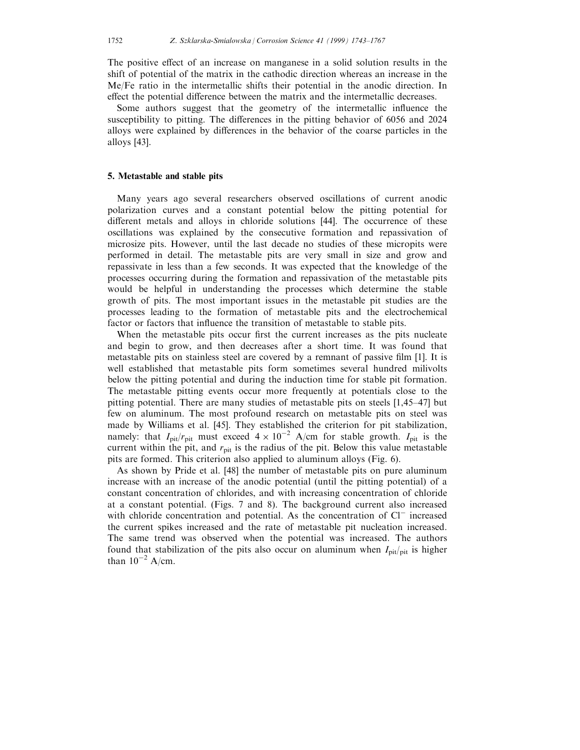The positive effect of an increase on manganese in a solid solution results in the shift of potential of the matrix in the cathodic direction whereas an increase in the Me/Fe ratio in the intermetallic shifts their potential in the anodic direction. In effect the potential difference between the matrix and the intermetallic decreases.

Some authors suggest that the geometry of the intermetallic influence the susceptibility to pitting. The differences in the pitting behavior of 6056 and 2024 alloys were explained by differences in the behavior of the coarse particles in the alloys [43].

#### 5. Metastable and stable pits

Many years ago several researchers observed oscillations of current anodic polarization curves and a constant potential below the pitting potential for different metals and alloys in chloride solutions  $[44]$ . The occurrence of these oscillations was explained by the consecutive formation and repassivation of microsize pits. However, until the last decade no studies of these micropits were performed in detail. The metastable pits are very small in size and grow and repassivate in less than a few seconds. It was expected that the knowledge of the processes occurring during the formation and repassivation of the metastable pits would be helpful in understanding the processes which determine the stable growth of pits. The most important issues in the metastable pit studies are the processes leading to the formation of metastable pits and the electrochemical factor or factors that influence the transition of metastable to stable pits.

When the metastable pits occur first the current increases as the pits nucleate and begin to grow, and then decreases after a short time. It was found that metastable pits on stainless steel are covered by a remnant of passive film  $[1]$ . It is well established that metastable pits form sometimes several hundred milivolts below the pitting potential and during the induction time for stable pit formation. The metastable pitting events occur more frequently at potentials close to the pitting potential. There are many studies of metastable pits on steels  $[1,45-47]$  but few on aluminum. The most profound research on metastable pits on steel was made by Williams et al. [45]. They established the criterion for pit stabilization, namely: that  $I_{\text{pit}}/r_{\text{pit}}$  must exceed  $4 \times 10^{-2}$  A/cm for stable growth.  $I_{\text{pit}}$  is the current within the pit, and  $r_{\text{pit}}$  is the radius of the pit. Below this value metastable pits are formed. This criterion also applied to aluminum alloys (Fig. 6).

As shown by Pride et al. [48] the number of metastable pits on pure aluminum increase with an increase of the anodic potential (until the pitting potential) of a constant concentration of chlorides, and with increasing concentration of chloride at a constant potential. (Figs. 7 and 8). The background current also increased with chloride concentration and potential. As the concentration of  $Cl^-$  increased the current spikes increased and the rate of metastable pit nucleation increased. The same trend was observed when the potential was increased. The authors found that stabilization of the pits also occur on aluminum when  $I_{\text{pit}/\text{pit}}$  is higher than  $10^{-2}$  A/cm.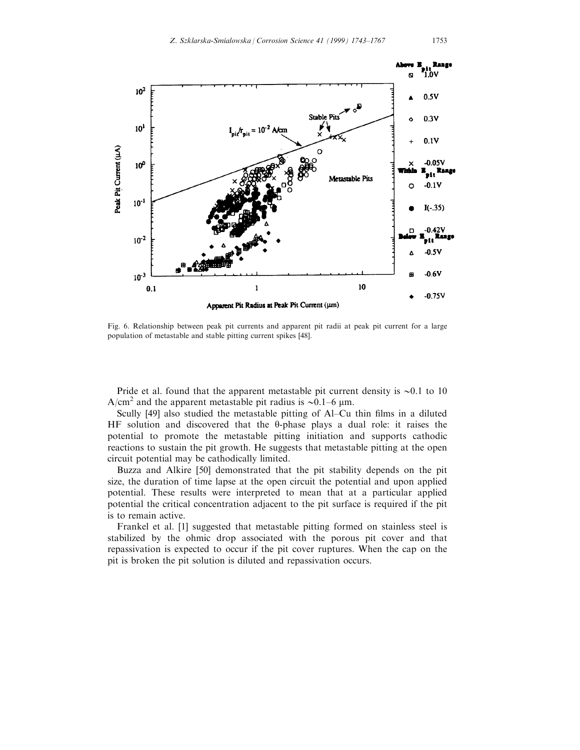

Fig. 6. Relationship between peak pit currents and apparent pit radii at peak pit current for a large population of metastable and stable pitting current spikes [48].

Pride et al. found that the apparent metastable pit current density is  $\sim 0.1$  to 10 A/cm<sup>2</sup> and the apparent metastable pit radius is  $\sim 0.1-6$  µm.

Scully [49] also studied the metastable pitting of Al–Cu thin films in a diluted HF solution and discovered that the  $\theta$ -phase plays a dual role: it raises the potential to promote the metastable pitting initiation and supports cathodic reactions to sustain the pit growth. He suggests that metastable pitting at the open circuit potential may be cathodically limited.

Buzza and Alkire [50] demonstrated that the pit stability depends on the pit size, the duration of time lapse at the open circuit the potential and upon applied potential. These results were interpreted to mean that at a particular applied potential the critical concentration adjacent to the pit surface is required if the pit is to remain active.

Frankel et al. [1] suggested that metastable pitting formed on stainless steel is stabilized by the ohmic drop associated with the porous pit cover and that repassivation is expected to occur if the pit cover ruptures. When the cap on the pit is broken the pit solution is diluted and repassivation occurs.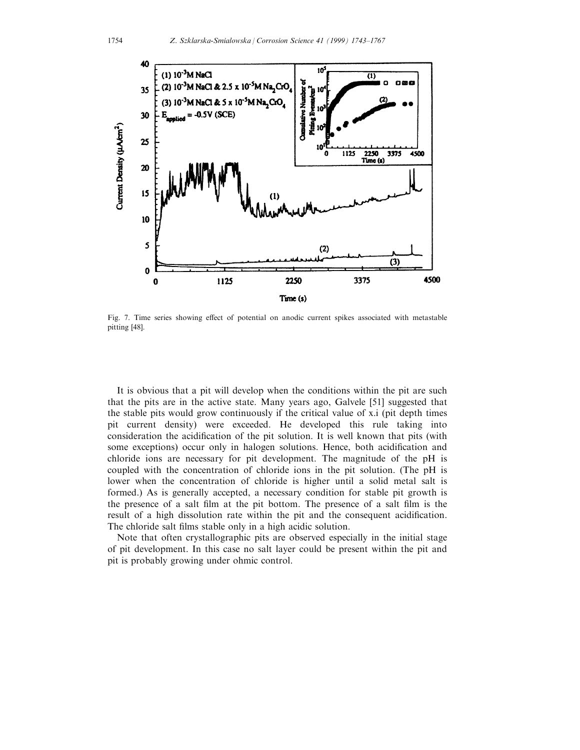

Fig. 7. Time series showing effect of potential on anodic current spikes associated with metastable pitting [48].

It is obvious that a pit will develop when the conditions within the pit are such that the pits are in the active state. Many years ago, Galvele [51] suggested that the stable pits would grow continuously if the critical value of x.i (pit depth times pit current density) were exceeded. He developed this rule taking into consideration the acidification of the pit solution. It is well known that pits (with some exceptions) occur only in halogen solutions. Hence, both acidification and chloride ions are necessary for pit development. The magnitude of the pH is coupled with the concentration of chloride ions in the pit solution. (The pH is lower when the concentration of chloride is higher until a solid metal salt is formed.) As is generally accepted, a necessary condition for stable pit growth is the presence of a salt film at the pit bottom. The presence of a salt film is the result of a high dissolution rate within the pit and the consequent acidification. The chloride salt films stable only in a high acidic solution.

Note that often crystallographic pits are observed especially in the initial stage of pit development. In this case no salt layer could be present within the pit and pit is probably growing under ohmic control.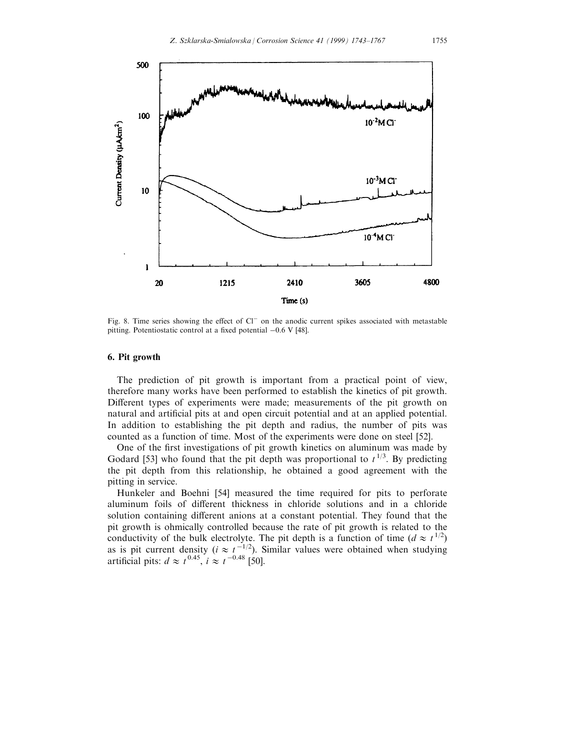

Fig. 8. Time series showing the effect of Cl<sup>-</sup> on the anodic current spikes associated with metastable pitting. Potentiostatic control at a fixed potential  $-0.6$  V [48].

# 6. Pit growth

The prediction of pit growth is important from a practical point of view, therefore many works have been performed to establish the kinetics of pit growth. Different types of experiments were made; measurements of the pit growth on natural and artificial pits at and open circuit potential and at an applied potential. In addition to establishing the pit depth and radius, the number of pits was counted as a function of time. Most of the experiments were done on steel [52].

One of the first investigations of pit growth kinetics on aluminum was made by Godard [53] who found that the pit depth was proportional to  $t^{1/3}$ . By predicting the pit depth from this relationship, he obtained a good agreement with the pitting in service.

Hunkeler and Boehni [54] measured the time required for pits to perforate aluminum foils of different thickness in chloride solutions and in a chloride solution containing different anions at a constant potential. They found that the pit growth is ohmically controlled because the rate of pit growth is related to the conductivity of the bulk electrolyte. The pit depth is a function of time  $(d \approx t^{1/2})$ as is pit current density ( $i \approx t^{-1/2}$ ). Similar values were obtained when studying artificial pits:  $d \approx t^{0.45}$ ,  $i \approx t^{-0.48}$  [50].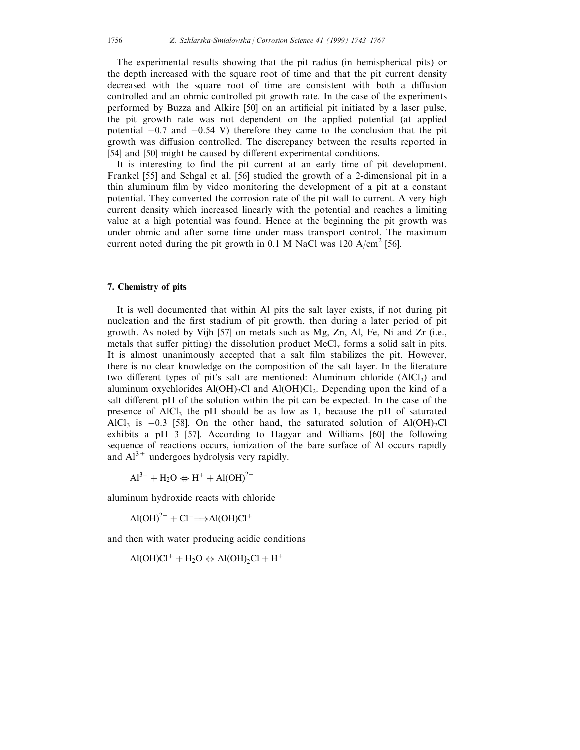The experimental results showing that the pit radius (in hemispherical pits) or the depth increased with the square root of time and that the pit current density decreased with the square root of time are consistent with both a diffusion controlled and an ohmic controlled pit growth rate. In the case of the experiments performed by Buzza and Alkire [50] on an artificial pit initiated by a laser pulse, the pit growth rate was not dependent on the applied potential (at applied potential  $-0.7$  and  $-0.54$  V) therefore they came to the conclusion that the pit growth was diffusion controlled. The discrepancy between the results reported in [54] and [50] might be caused by different experimental conditions.

It is interesting to find the pit current at an early time of pit development. Frankel [55] and Sehgal et al. [56] studied the growth of a 2-dimensional pit in a thin aluminum film by video monitoring the development of a pit at a constant potential. They converted the corrosion rate of the pit wall to current. A very high current density which increased linearly with the potential and reaches a limiting value at a high potential was found. Hence at the beginning the pit growth was under ohmic and after some time under mass transport control. The maximum current noted during the pit growth in 0.1 M NaCl was 120 A/cm<sup>2</sup> [56].

#### 7. Chemistry of pits

It is well documented that within Al pits the salt layer exists, if not during pit nucleation and the first stadium of pit growth, then during a later period of pit growth. As noted by Vijh [57] on metals such as Mg, Zn, Al, Fe, Ni and Zr (i.e., metals that suffer pitting) the dissolution product  $MeCl<sub>x</sub>$  forms a solid salt in pits. It is almost unanimously accepted that a salt film stabilizes the pit. However, there is no clear knowledge on the composition of the salt layer. In the literature two different types of pit's salt are mentioned: Aluminum chloride  $(AICI<sub>3</sub>)$  and aluminum oxychlorides  $A(OH)_2Cl$  and  $A(OH)Cl_2$ . Depending upon the kind of a salt different pH of the solution within the pit can be expected. In the case of the presence of  $AICI_3$  the pH should be as low as 1, because the pH of saturated AlCl<sub>3</sub> is  $-0.3$  [58]. On the other hand, the saturated solution of Al(OH)<sub>2</sub>Cl exhibits a pH 3 [57]. According to Hagyar and Williams [60] the following sequence of reactions occurs, ionization of the bare surface of Al occurs rapidly and  $Al^{3+}$  undergoes hydrolysis very rapidly.

 $Al^{3+} + H_2O \Leftrightarrow H^+ + Al(OH)^{2+}$ 

aluminum hydroxide reacts with chloride

 $\text{Al}(\text{OH})^{2+} + \text{Cl}^- \Longrightarrow \text{Al}(\text{OH})\text{Cl}^+$ 

and then with water producing acidic conditions

 $AI(OH)Cl^+ + H_2O \Leftrightarrow Al(OH)_2Cl + H^+$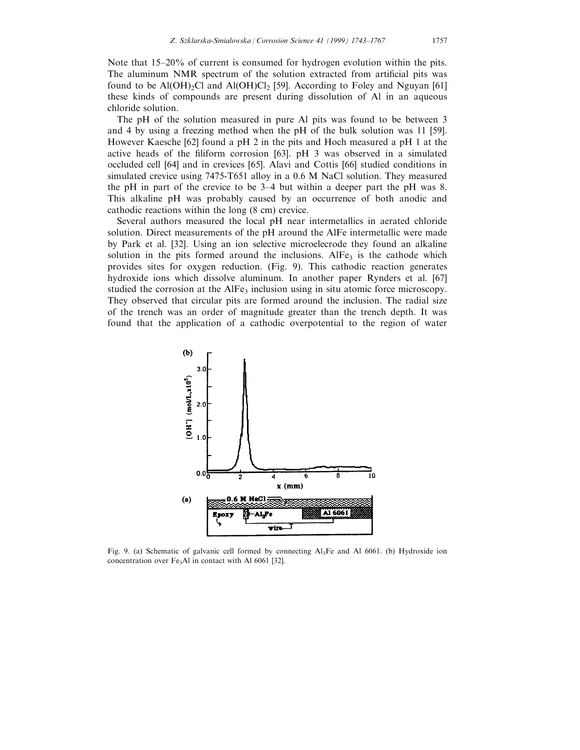Note that  $15-20\%$  of current is consumed for hydrogen evolution within the pits. The aluminum NMR spectrum of the solution extracted from artificial pits was found to be  $A(OH)_2Cl$  and  $A(OH)Cl_2$  [59]. According to Foley and Nguyan [61] these kinds of compounds are present during dissolution of Al in an aqueous chloride solution.

The pH of the solution measured in pure Al pits was found to be between 3 and 4 by using a freezing method when the pH of the bulk solution was 11 [59]. However Kaesche [62] found a pH 2 in the pits and Hoch measured a pH 1 at the active heads of the filiform corrosion  $[63]$ . pH 3 was observed in a simulated occluded cell [64] and in crevices [65]. Alavi and Cottis [66] studied conditions in simulated crevice using 7475-T651 alloy in a 0.6 M NaCl solution. They measured the pH in part of the crevice to be  $3-4$  but within a deeper part the pH was 8. This alkaline pH was probably caused by an occurrence of both anodic and cathodic reactions within the long (8 cm) crevice.

Several authors measured the local pH near intermetallics in aerated chloride solution. Direct measurements of the pH around the AlFe intermetallic were made by Park et al. [32]. Using an ion selective microelecrode they found an alkaline solution in the pits formed around the inclusions.  $AIF_{3}$  is the cathode which provides sites for oxygen reduction. (Fig. 9). This cathodic reaction generates hydroxide ions which dissolve aluminum. In another paper Rynders et al. [67] studied the corrosion at the AlFe<sub>3</sub> inclusion using in situ atomic force microscopy. They observed that circular pits are formed around the inclusion. The radial size of the trench was an order of magnitude greater than the trench depth. It was found that the application of a cathodic overpotential to the region of water



Fig. 9. (a) Schematic of galvanic cell formed by connecting Al3Fe and Al 6061. (b) Hydroxide ion concentration over  $Fe<sub>3</sub>A1$  in contact with Al 6061 [32].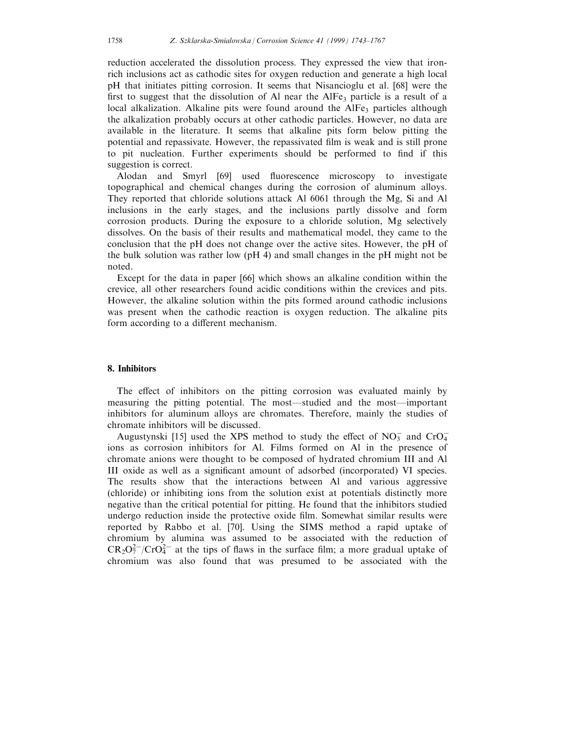reduction accelerated the dissolution process. They expressed the view that ironrich inclusions act as cathodic sites for oxygen reduction and generate a high local pH that initiates pitting corrosion. It seems that Nisancioglu et al. [68] were the first to suggest that the dissolution of Al near the AlFe<sub>3</sub> particle is a result of a local alkalization. Alkaline pits were found around the AlFe<sub>3</sub> particles although the alkalization probably occurs at other cathodic particles. However, no data are available in the literature. It seems that alkaline pits form below pitting the potential and repassivate. However, the repassivated film is weak and is still prone to pit nucleation. Further experiments should be performed to find if this suggestion is correct.

Alodan and Smyrl [69] used fluorescence microscopy to investigate topographical and chemical changes during the corrosion of aluminum alloys. They reported that chloride solutions attack Al 6061 through the Mg, Si and Al inclusions in the early stages, and the inclusions partly dissolve and form corrosion products. During the exposure to a chloride solution, Mg selectively dissolves. On the basis of their results and mathematical model, they came to the conclusion that the pH does not change over the active sites. However, the pH of the bulk solution was rather low (pH 4) and small changes in the pH might not be noted.

Except for the data in paper [66] which shows an alkaline condition within the crevice, all other researchers found acidic conditions within the crevices and pits. However, the alkaline solution within the pits formed around cathodic inclusions was present when the cathodic reaction is oxygen reduction. The alkaline pits form according to a different mechanism.

#### 8. Inhibitors

The effect of inhibitors on the pitting corrosion was evaluated mainly by measuring the pitting potential. The most—studied and the most—important inhibitors for aluminum alloys are chromates. Therefore, mainly the studies of chromate inhibitors will be discussed.

Augustynski [15] used the XPS method to study the effect of  $NO_3^-$  and  $CrO_4^$ ions as corrosion inhibitors for Al. Films formed on Al in the presence of chromate anions were thought to be composed of hydrated chromium III and Al III oxide as well as a significant amount of adsorbed (incorporated) VI species. The results show that the interactions between Al and various aggressive (chloride) or inhibiting ions from the solution exist at potentials distinctly more negative than the critical potential for pitting. He found that the inhibitors studied undergo reduction inside the protective oxide film. Somewhat similar results were reported by Rabbo et al. [70]. Using the SIMS method a rapid uptake of chromium by alumina was assumed to be associated with the reduction of  $CR_2O_7^{2-}/CrO_4^{2-}$  at the tips of flaws in the surface film; a more gradual uptake of chromium was also found that was presumed to be associated with the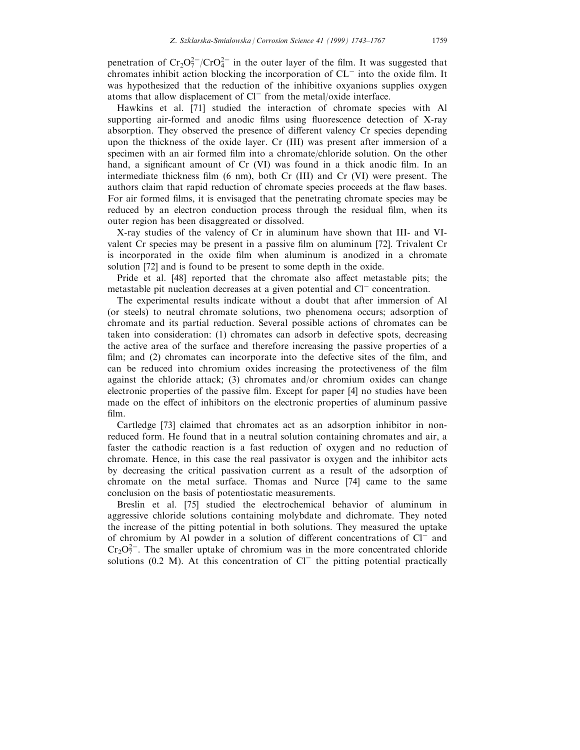penetration of  $Cr_2O_7^{2-}/CrO_4^{2-}$  in the outer layer of the film. It was suggested that chromates inhibit action blocking the incorporation of  $CL<sup>-</sup>$  into the oxide film. It was hypothesized that the reduction of the inhibitive oxyanions supplies oxygen atoms that allow displacement of  $Cl^-$  from the metal/oxide interface.

Hawkins et al. [71] studied the interaction of chromate species with Al supporting air-formed and anodic films using fluorescence detection of X-ray absorption. They observed the presence of different valency Cr species depending upon the thickness of the oxide layer. Cr (III) was present after immersion of a specimen with an air formed film into a chromate/chloride solution. On the other hand, a significant amount of Cr (VI) was found in a thick anodic film. In an intermediate thickness film  $(6 \text{ nm})$ , both Cr  $(III)$  and Cr  $(VI)$  were present. The authors claim that rapid reduction of chromate species proceeds at the flaw bases. For air formed films, it is envisaged that the penetrating chromate species may be reduced by an electron conduction process through the residual film, when its outer region has been disaggreated or dissolved.

X-ray studies of the valency of Cr in aluminum have shown that III- and VIvalent Cr species may be present in a passive film on aluminum [72]. Trivalent Cr is incorporated in the oxide film when aluminum is anodized in a chromate solution [72] and is found to be present to some depth in the oxide.

Pride et al. [48] reported that the chromate also affect metastable pits; the metastable pit nucleation decreases at a given potential and  $Cl^-$  concentration.

The experimental results indicate without a doubt that after immersion of Al (or steels) to neutral chromate solutions, two phenomena occurs; adsorption of chromate and its partial reduction. Several possible actions of chromates can be taken into consideration: (1) chromates can adsorb in defective spots, decreasing the active area of the surface and therefore increasing the passive properties of a film; and  $(2)$  chromates can incorporate into the defective sites of the film, and can be reduced into chromium oxides increasing the protectiveness of the film against the chloride attack; (3) chromates and/or chromium oxides can change electronic properties of the passive film. Except for paper [4] no studies have been made on the effect of inhibitors on the electronic properties of aluminum passive film.

Cartledge [73] claimed that chromates act as an adsorption inhibitor in nonreduced form. He found that in a neutral solution containing chromates and air, a faster the cathodic reaction is a fast reduction of oxygen and no reduction of chromate. Hence, in this case the real passivator is oxygen and the inhibitor acts by decreasing the critical passivation current as a result of the adsorption of chromate on the metal surface. Thomas and Nurce [74] came to the same conclusion on the basis of potentiostatic measurements.

Breslin et al. [75] studied the electrochemical behavior of aluminum in aggressive chloride solutions containing molybdate and dichromate. They noted the increase of the pitting potential in both solutions. They measured the uptake of chromium by Al powder in a solution of different concentrations of  $Cl<sup>-</sup>$  and  $Cr_2O_7^{2-}$ . The smaller uptake of chromium was in the more concentrated chloride solutions (0.2 M). At this concentration of  $Cl^-$  the pitting potential practically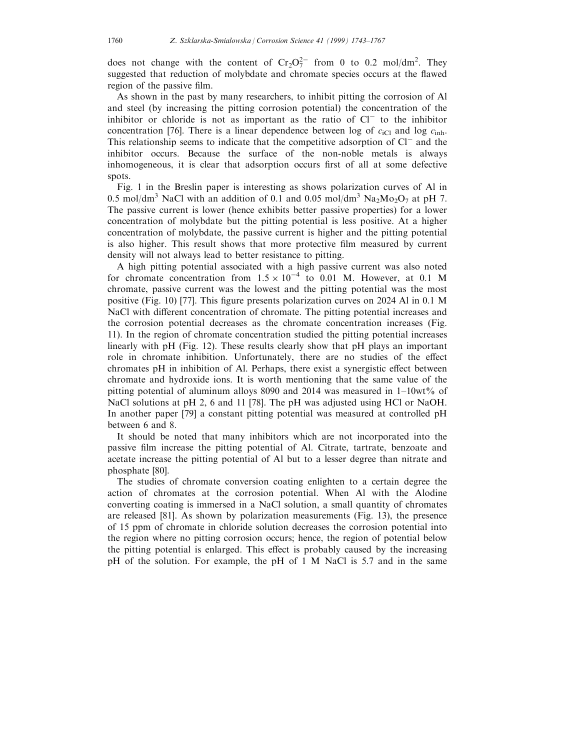does not change with the content of  $Cr_2O_7^{2-}$  from 0 to 0.2 mol/dm<sup>2</sup>. They suggested that reduction of molybdate and chromate species occurs at the flawed region of the passive film.

As shown in the past by many researchers, to inhibit pitting the corrosion of Al and steel (by increasing the pitting corrosion potential) the concentration of the inhibitor or chloride is not as important as the ratio of  $Cl<sup>-</sup>$  to the inhibitor concentration [76]. There is a linear dependence between log of  $c_{iCl}$  and log  $c_{inh}$ . This relationship seems to indicate that the competitive adsorption of  $Cl^-$  and the inhibitor occurs. Because the surface of the non-noble metals is always inhomogeneous, it is clear that adsorption occurs first of all at some defective spots.

Fig. 1 in the Breslin paper is interesting as shows polarization curves of Al in 0.5 mol/dm<sup>3</sup> NaCl with an addition of 0.1 and 0.05 mol/dm<sup>3</sup> Na<sub>2</sub>Mo<sub>2</sub>O<sub>7</sub> at pH 7. The passive current is lower (hence exhibits better passive properties) for a lower concentration of molybdate but the pitting potential is less positive. At a higher concentration of molybdate, the passive current is higher and the pitting potential is also higher. This result shows that more protective film measured by current density will not always lead to better resistance to pitting.

A high pitting potential associated with a high passive current was also noted for chromate concentration from  $1.5 \times 10^{-4}$  to 0.01 M. However, at 0.1 M chromate, passive current was the lowest and the pitting potential was the most positive (Fig. 10) [77]. This figure presents polarization curves on 2024 Al in 0.1 M NaCl with different concentration of chromate. The pitting potential increases and the corrosion potential decreases as the chromate concentration increases (Fig. 11). In the region of chromate concentration studied the pitting potential increases linearly with pH (Fig. 12). These results clearly show that pH plays an important role in chromate inhibition. Unfortunately, there are no studies of the effect chromates pH in inhibition of Al. Perhaps, there exist a synergistic effect between chromate and hydroxide ions. It is worth mentioning that the same value of the pitting potential of aluminum alloys 8090 and 2014 was measured in  $1-10wt\%$  of NaCl solutions at pH 2, 6 and 11 [78]. The pH was adjusted using HCl or NaOH. In another paper [79] a constant pitting potential was measured at controlled pH between 6 and 8.

It should be noted that many inhibitors which are not incorporated into the passive film increase the pitting potential of Al. Citrate, tartrate, benzoate and acetate increase the pitting potential of Al but to a lesser degree than nitrate and phosphate [80].

The studies of chromate conversion coating enlighten to a certain degree the action of chromates at the corrosion potential. When Al with the Alodine converting coating is immersed in a NaCl solution, a small quantity of chromates are released [81]. As shown by polarization measurements (Fig. 13), the presence of 15 ppm of chromate in chloride solution decreases the corrosion potential into the region where no pitting corrosion occurs; hence, the region of potential below the pitting potential is enlarged. This effect is probably caused by the increasing pH of the solution. For example, the pH of 1 M NaCl is 5.7 and in the same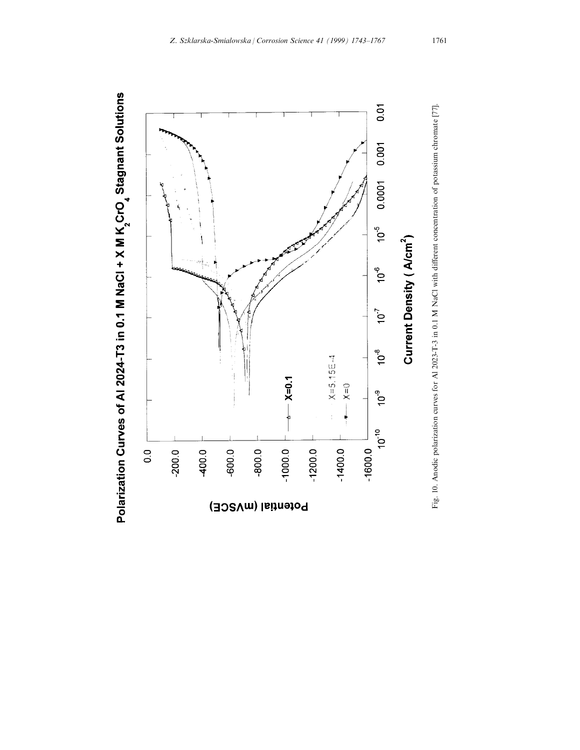

Polarization Curves of Al 2024-T3 in 0.1 M NaCl + X M K CrO<sub>4</sub> Stagnant Solutions

Fig. 10. Anodic polarization curves for Al 2023-T-3 in 0.1 M NaCl with dierent concentration of potassium chromate [77].

Fig. 10. Anodic polarization curves for Al 2023-T-3 in 0.1 M NaCl with different concentration of potassium chromate [77].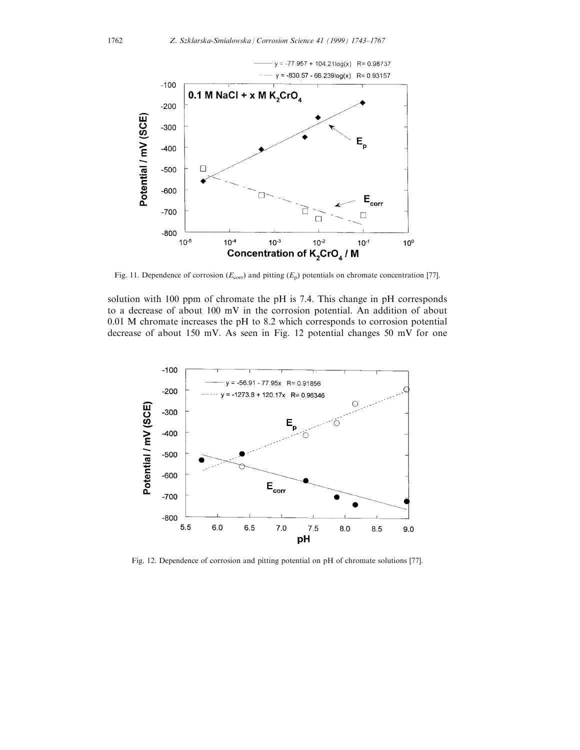

Fig. 11. Dependence of corrosion ( $E_{\text{corr}}$ ) and pitting ( $E_{\text{p}}$ ) potentials on chromate concentration [77].

solution with 100 ppm of chromate the pH is 7.4. This change in pH corresponds to a decrease of about 100 mV in the corrosion potential. An addition of about 0.01 M chromate increases the pH to 8.2 which corresponds to corrosion potential decrease of about 150 mV. As seen in Fig. 12 potential changes 50 mV for one



Fig. 12. Dependence of corrosion and pitting potential on pH of chromate solutions [77].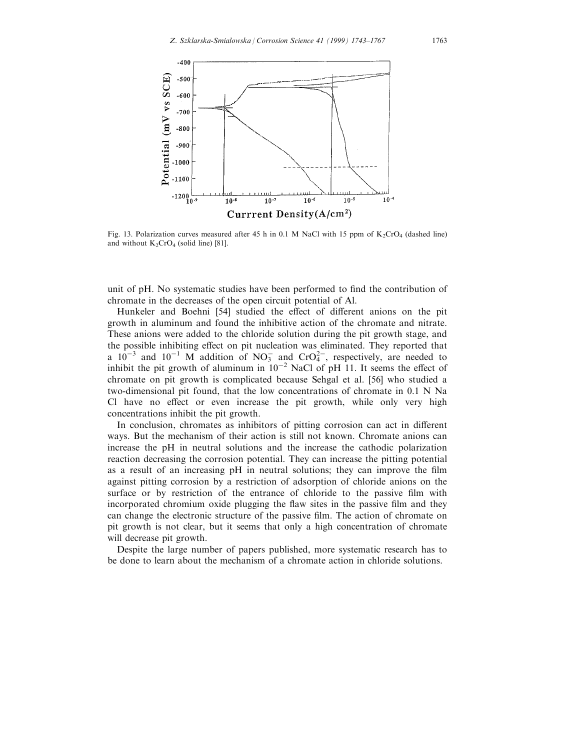

Fig. 13. Polarization curves measured after 45 h in 0.1 M NaCl with 15 ppm of K<sub>2</sub>CrO<sub>4</sub> (dashed line) and without  $K_2CrO_4$  (solid line) [81].

unit of pH. No systematic studies have been performed to find the contribution of chromate in the decreases of the open circuit potential of Al.

Hunkeler and Boehni [54] studied the effect of different anions on the pit growth in aluminum and found the inhibitive action of the chromate and nitrate. These anions were added to the chloride solution during the pit growth stage, and the possible inhibiting effect on pit nucleation was eliminated. They reported that a  $10^{-3}$  and  $10^{-1}$  M addition of NO<sub>3</sub> and CrO<sub>4</sub><sup>2</sup>, respectively, are needed to inhibit the pit growth of aluminum in  $10^{-2}$  NaCl of pH 11. It seems the effect of chromate on pit growth is complicated because Sehgal et al. [56] who studied a two-dimensional pit found, that the low concentrations of chromate in 0.1 N Na Cl have no effect or even increase the pit growth, while only very high concentrations inhibit the pit growth.

In conclusion, chromates as inhibitors of pitting corrosion can act in different ways. But the mechanism of their action is still not known. Chromate anions can increase the pH in neutral solutions and the increase the cathodic polarization reaction decreasing the corrosion potential. They can increase the pitting potential as a result of an increasing pH in neutral solutions; they can improve the film against pitting corrosion by a restriction of adsorption of chloride anions on the surface or by restriction of the entrance of chloride to the passive film with incorporated chromium oxide plugging the flaw sites in the passive film and they can change the electronic structure of the passive film. The action of chromate on pit growth is not clear, but it seems that only a high concentration of chromate will decrease pit growth.

Despite the large number of papers published, more systematic research has to be done to learn about the mechanism of a chromate action in chloride solutions.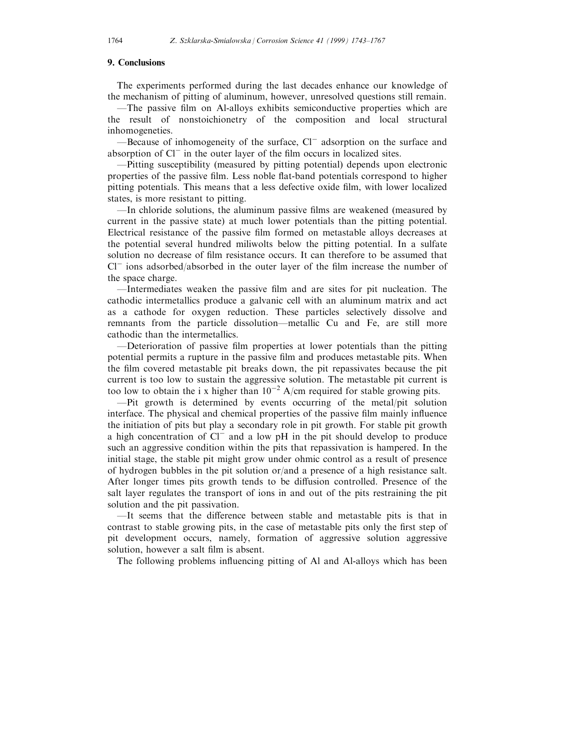#### 9. Conclusions

The experiments performed during the last decades enhance our knowledge of the mechanism of pitting of aluminum, however, unresolved questions still remain.

The passive film on Al-alloys exhibits semiconductive properties which are the result of nonstoichionetry of the composition and local structural inhomogeneties.

—Because of inhomogeneity of the surface,  $Cl^-$  adsorption on the surface and absorption of  $Cl^-$  in the outer layer of the film occurs in localized sites.

ÐPitting susceptibility (measured by pitting potential) depends upon electronic properties of the passive film. Less noble flat-band potentials correspond to higher pitting potentials. This means that a less defective oxide film, with lower localized states, is more resistant to pitting.

ÐIn chloride solutions, the aluminum passive ®lms are weakened (measured by current in the passive state) at much lower potentials than the pitting potential. Electrical resistance of the passive film formed on metastable alloys decreases at the potential several hundred miliwolts below the pitting potential. In a sulfate solution no decrease of film resistance occurs. It can therefore to be assumed that  $Cl^-$  ions adsorbed/absorbed in the outer layer of the film increase the number of the space charge.

ÐIntermediates weaken the passive ®lm and are sites for pit nucleation. The cathodic intermetallics produce a galvanic cell with an aluminum matrix and act as a cathode for oxygen reduction. These particles selectively dissolve and remnants from the particle dissolution—metallic Cu and Fe, are still more cathodic than the intermetallics.

 $-D$ eterioration of passive film properties at lower potentials than the pitting potential permits a rupture in the passive film and produces metastable pits. When the film covered metastable pit breaks down, the pit repassivates because the pit current is too low to sustain the aggressive solution. The metastable pit current is too low to obtain the i x higher than  $10^{-2}$  A/cm required for stable growing pits.

 $-Pit$  growth is determined by events occurring of the metal/pit solution interface. The physical and chemical properties of the passive film mainly influence the initiation of pits but play a secondary role in pit growth. For stable pit growth a high concentration of  $Cl^-$  and a low pH in the pit should develop to produce such an aggressive condition within the pits that repassivation is hampered. In the initial stage, the stable pit might grow under ohmic control as a result of presence of hydrogen bubbles in the pit solution or/and a presence of a high resistance salt. After longer times pits growth tends to be diffusion controlled. Presence of the salt layer regulates the transport of ions in and out of the pits restraining the pit solution and the pit passivation.

-It seems that the difference between stable and metastable pits is that in contrast to stable growing pits, in the case of metastable pits only the first step of pit development occurs, namely, formation of aggressive solution aggressive solution, however a salt film is absent.

The following problems influencing pitting of Al and Al-alloys which has been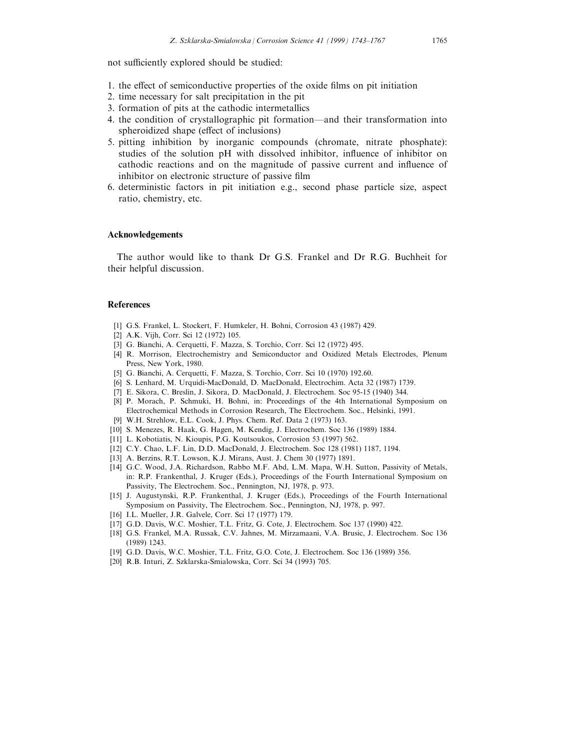not sufficiently explored should be studied:

- 1. the effect of semiconductive properties of the oxide films on pit initiation
- 2. time necessary for salt precipitation in the pit
- 3. formation of pits at the cathodic intermetallics
- 4. the condition of crystallographic pit formation—and their transformation into spheroidized shape (effect of inclusions)
- 5. pitting inhibition by inorganic compounds (chromate, nitrate phosphate): studies of the solution pH with dissolved inhibitor, influence of inhibitor on cathodic reactions and on the magnitude of passive current and influence of inhibitor on electronic structure of passive film
- 6. deterministic factors in pit initiation e.g., second phase particle size, aspect ratio, chemistry, etc.

### Acknowledgements

The author would like to thank Dr G.S. Frankel and Dr R.G. Buchheit for their helpful discussion.

#### References

- [1] G.S. Frankel, L. Stockert, F. Humkeler, H. Bohni, Corrosion 43 (1987) 429.
- [2] A.K. Vijh, Corr. Sci 12 (1972) 105.
- [3] G. Bianchi, A. Cerquetti, F. Mazza, S. Torchio, Corr. Sci 12 (1972) 495.
- [4] R. Morrison, Electrochemistry and Semiconductor and Oxidized Metals Electrodes, Plenum Press, New York, 1980.
- [5] G. Bianchi, A. Cerquetti, F. Mazza, S. Torchio, Corr. Sci 10 (1970) 192.60.
- [6] S. Lenhard, M. Urquidi-MacDonald, D. MacDonald, Electrochim. Acta 32 (1987) 1739.
- [7] E. Sikora, C. Breslin, J. Sikora, D. MacDonald, J. Electrochem. Soc 95-15 (1940) 344.
- [8] P. Morach, P. Schmuki, H. Bohni, in: Proceedings of the 4th International Symposium on Electrochemical Methods in Corrosion Research, The Electrochem. Soc., Helsinki, 1991.
- [9] W.H. Strehlow, E.L. Cook, J. Phys. Chem. Ref. Data 2 (1973) 163.
- [10] S. Menezes, R. Haak, G. Hagen, M. Kendig, J. Electrochem. Soc 136 (1989) 1884.
- [11] L. Kobotiatis, N. Kioupis, P.G. Koutsoukos, Corrosion 53 (1997) 562.
- [12] C.Y. Chao, L.F. Lin, D.D. MacDonald, J. Electrochem. Soc 128 (1981) 1187, 1194.
- [13] A. Berzins, R.T. Lowson, K.J. Mirans, Aust. J. Chem 30 (1977) 1891.
- [14] G.C. Wood, J.A. Richardson, Rabbo M.F. Abd, L.M. Mapa, W.H. Sutton, Passivity of Metals, in: R.P. Frankenthal, J. Kruger (Eds.), Proceedings of the Fourth International Symposium on Passivity, The Electrochem. Soc., Pennington, NJ, 1978, p. 973.
- [15] J. Augustynski, R.P. Frankenthal, J. Kruger (Eds.), Proceedings of the Fourth International Symposium on Passivity, The Electrochem. Soc., Pennington, NJ, 1978, p. 997.
- [16] I.L. Mueller, J.R. Galvele, Corr. Sci 17 (1977) 179.
- [17] G.D. Davis, W.C. Moshier, T.L. Fritz, G. Cote, J. Electrochem. Soc 137 (1990) 422.
- [18] G.S. Frankel, M.A. Russak, C.V. Jahnes, M. Mirzamaani, V.A. Brusic, J. Electrochem. Soc 136 (1989) 1243.
- [19] G.D. Davis, W.C. Moshier, T.L. Fritz, G.O. Cote, J. Electrochem. Soc 136 (1989) 356.
- [20] R.B. Inturi, Z. Szklarska-Smialowska, Corr. Sci 34 (1993) 705.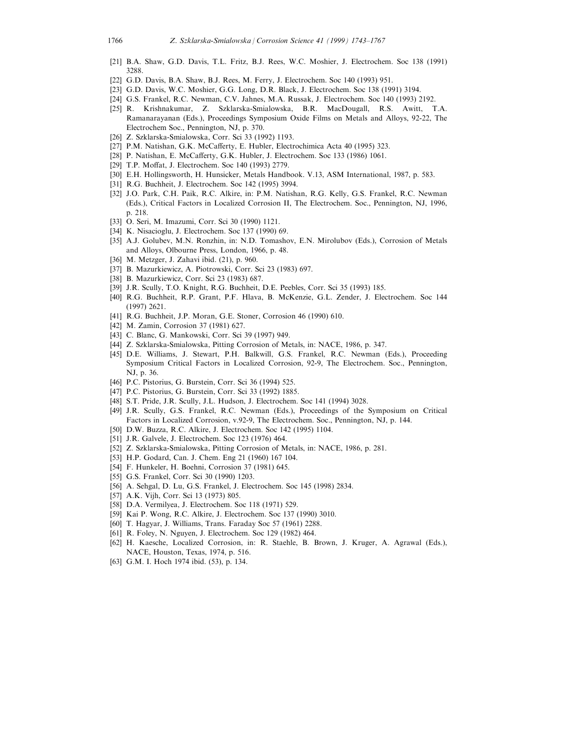- [21] B.A. Shaw, G.D. Davis, T.L. Fritz, B.J. Rees, W.C. Moshier, J. Electrochem. Soc 138 (1991) 3288.
- [22] G.D. Davis, B.A. Shaw, B.J. Rees, M. Ferry, J. Electrochem. Soc 140 (1993) 951.
- [23] G.D. Davis, W.C. Moshier, G.G. Long, D.R. Black, J. Electrochem. Soc 138 (1991) 3194.
- [24] G.S. Frankel, R.C. Newman, C.V. Jahnes, M.A. Russak, J. Electrochem. Soc 140 (1993) 2192.
- [25] R. Krishnakumar, Z. Szklarska-Smialowska, B.R. MacDougall, R.S. Awitt, T.A. Ramanarayanan (Eds.), Proceedings Symposium Oxide Films on Metals and Alloys, 92-22, The Electrochem Soc., Pennington, NJ, p. 370.
- [26] Z. Szklarska-Smialowska, Corr. Sci 33 (1992) 1193.
- [27] P.M. Natishan, G.K. McCafferty, E. Hubler, Electrochimica Acta 40 (1995) 323.
- [28] P. Natishan, E. McCafferty, G.K. Hubler, J. Electrochem. Soc 133 (1986) 1061.
- [29] T.P. Moffat, J. Electrochem. Soc 140 (1993) 2779.
- [30] E.H. Hollingsworth, H. Hunsicker, Metals Handbook. V.13, ASM International, 1987, p. 583.
- [31] R.G. Buchheit, J. Electrochem. Soc 142 (1995) 3994.
- [32] J.O. Park, C.H. Paik, R.C. Alkire, in: P.M. Natishan, R.G. Kelly, G.S. Frankel, R.C. Newman (Eds.), Critical Factors in Localized Corrosion II, The Electrochem. Soc., Pennington, NJ, 1996, p. 218.
- [33] O. Seri, M. Imazumi, Corr. Sci 30 (1990) 1121.
- [34] K. Nisacioglu, J. Electrochem. Soc 137 (1990) 69.
- [35] A.J. Golubev, M.N. Ronzhin, in: N.D. Tomashov, E.N. Mirolubov (Eds.), Corrosion of Metals and Alloys, Olbourne Press, London, 1966, p. 48.
- [36] M. Metzger, J. Zahavi ibid. (21), p. 960.
- [37] B. Mazurkiewicz, A. Piotrowski, Corr. Sci 23 (1983) 697.
- [38] B. Mazurkiewicz, Corr. Sci 23 (1983) 687.
- [39] J.R. Scully, T.O. Knight, R.G. Buchheit, D.E. Peebles, Corr. Sci 35 (1993) 185.
- [40] R.G. Buchheit, R.P. Grant, P.F. Hlava, B. McKenzie, G.L. Zender, J. Electrochem. Soc 144 (1997) 2621.
- [41] R.G. Buchheit, J.P. Moran, G.E. Stoner, Corrosion 46 (1990) 610.
- [42] M. Zamin, Corrosion 37 (1981) 627.
- [43] C. Blanc, G. Mankowski, Corr. Sci 39 (1997) 949.
- [44] Z. Szklarska-Smialowska, Pitting Corrosion of Metals, in: NACE, 1986, p. 347.
- [45] D.E. Williams, J. Stewart, P.H. Balkwill, G.S. Frankel, R.C. Newman (Eds.), Proceeding Symposium Critical Factors in Localized Corrosion, 92-9, The Electrochem. Soc., Pennington, NJ, p. 36.
- [46] P.C. Pistorius, G. Burstein, Corr. Sci 36 (1994) 525.
- [47] P.C. Pistorius, G. Burstein, Corr. Sci 33 (1992) 1885.
- [48] S.T. Pride, J.R. Scully, J.L. Hudson, J. Electrochem. Soc 141 (1994) 3028.
- [49] J.R. Scully, G.S. Frankel, R.C. Newman (Eds.), Proceedings of the Symposium on Critical Factors in Localized Corrosion, v.92-9, The Electrochem. Soc., Pennington, NJ, p. 144.
- [50] D.W. Buzza, R.C. Alkire, J. Electrochem. Soc 142 (1995) 1104.
- [51] J.R. Galvele, J. Electrochem. Soc 123 (1976) 464.
- [52] Z. Szklarska-Smialowska, Pitting Corrosion of Metals, in: NACE, 1986, p. 281.
- [53] H.P. Godard, Can. J. Chem. Eng 21 (1960) 167 104.
- [54] F. Hunkeler, H. Boehni, Corrosion 37 (1981) 645.
- [55] G.S. Frankel, Corr. Sci 30 (1990) 1203.
- [56] A. Sehgal, D. Lu, G.S. Frankel, J. Electrochem. Soc 145 (1998) 2834.
- [57] A.K. Vijh, Corr. Sci 13 (1973) 805.
- [58] D.A. Vermilyea, J. Electrochem. Soc 118 (1971) 529.
- [59] Kai P. Wong, R.C. Alkire, J. Electrochem. Soc 137 (1990) 3010.
- [60] T. Hagyar, J. Williams, Trans. Faraday Soc 57 (1961) 2288.
- [61] R. Foley, N. Nguyen, J. Electrochem. Soc 129 (1982) 464.
- [62] H. Kaesche, Localized Corrosion, in: R. Staehle, B. Brown, J. Kruger, A. Agrawal (Eds.), NACE, Houston, Texas, 1974, p. 516.
- [63] G.M. I. Hoch 1974 ibid. (53), p. 134.